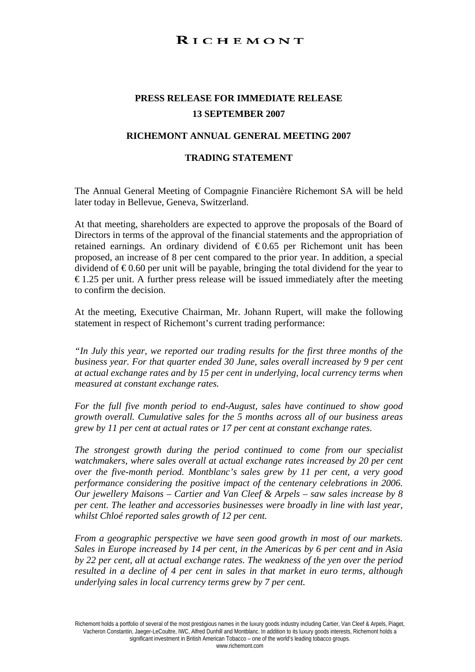## RICHEMONT

## **PRESS RELEASE FOR IMMEDIATE RELEASE 13 SEPTEMBER 2007**

## **RICHEMONT ANNUAL GENERAL MEETING 2007**

## **TRADING STATEMENT**

The Annual General Meeting of Compagnie Financière Richemont SA will be held later today in Bellevue, Geneva, Switzerland.

At that meeting, shareholders are expected to approve the proposals of the Board of Directors in terms of the approval of the financial statements and the appropriation of retained earnings. An ordinary dividend of  $\epsilon$ 0.65 per Richemont unit has been proposed, an increase of 8 per cent compared to the prior year. In addition, a special dividend of  $\epsilon$ 0.60 per unit will be payable, bringing the total dividend for the year to  $\epsilon$  1.25 per unit. A further press release will be issued immediately after the meeting to confirm the decision.

At the meeting, Executive Chairman, Mr. Johann Rupert, will make the following statement in respect of Richemont's current trading performance:

*"In July this year, we reported our trading results for the first three months of the business year. For that quarter ended 30 June, sales overall increased by 9 per cent at actual exchange rates and by 15 per cent in underlying, local currency terms when measured at constant exchange rates.* 

*For the full five month period to end-August, sales have continued to show good growth overall. Cumulative sales for the 5 months across all of our business areas grew by 11 per cent at actual rates or 17 per cent at constant exchange rates.* 

*The strongest growth during the period continued to come from our specialist watchmakers, where sales overall at actual exchange rates increased by 20 per cent over the five-month period. Montblanc's sales grew by 11 per cent, a very good performance considering the positive impact of the centenary celebrations in 2006. Our jewellery Maisons – Cartier and Van Cleef & Arpels – saw sales increase by 8 per cent. The leather and accessories businesses were broadly in line with last year, whilst Chloé reported sales growth of 12 per cent.* 

*From a geographic perspective we have seen good growth in most of our markets. Sales in Europe increased by 14 per cent, in the Americas by 6 per cent and in Asia by 22 per cent, all at actual exchange rates. The weakness of the yen over the period resulted in a decline of 4 per cent in sales in that market in euro terms, although underlying sales in local currency terms grew by 7 per cent.* 

Richemont holds a portfolio of several of the most prestigious names in the luxury goods industry including Cartier, Van Cleef & Arpels, Piaget, Vacheron Constantin, Jaeger-LeCoultre, IWC, Alfred Dunhill and Montblanc. In addition to its luxury goods interests, Richemont holds a significant investment in British American Tobacco – one of the world's leading tobacco groups. www.richemont.com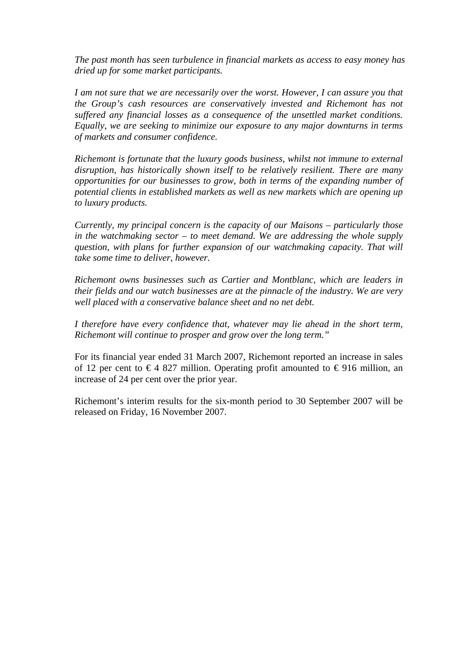*The past month has seen turbulence in financial markets as access to easy money has dried up for some market participants.* 

*I am not sure that we are necessarily over the worst. However, I can assure you that the Group's cash resources are conservatively invested and Richemont has not suffered any financial losses as a consequence of the unsettled market conditions. Equally, we are seeking to minimize our exposure to any major downturns in terms of markets and consumer confidence.* 

*Richemont is fortunate that the luxury goods business, whilst not immune to external disruption, has historically shown itself to be relatively resilient. There are many opportunities for our businesses to grow, both in terms of the expanding number of potential clients in established markets as well as new markets which are opening up to luxury products.* 

*Currently, my principal concern is the capacity of our Maisons – particularly those in the watchmaking sector – to meet demand. We are addressing the whole supply question, with plans for further expansion of our watchmaking capacity. That will take some time to deliver, however.* 

*Richemont owns businesses such as Cartier and Montblanc, which are leaders in their fields and our watch businesses are at the pinnacle of the industry. We are very well placed with a conservative balance sheet and no net debt.* 

*I therefore have every confidence that, whatever may lie ahead in the short term, Richemont will continue to prosper and grow over the long term."* 

For its financial year ended 31 March 2007, Richemont reported an increase in sales of 12 per cent to  $\in$  4 827 million. Operating profit amounted to  $\in$  916 million, an increase of 24 per cent over the prior year.

Richemont's interim results for the six-month period to 30 September 2007 will be released on Friday, 16 November 2007.